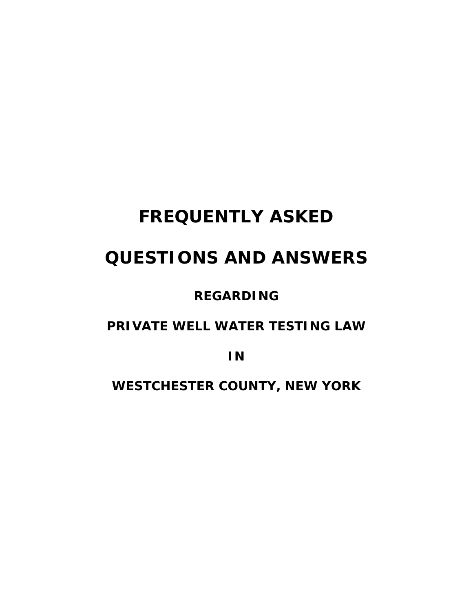# **FREQUENTLY ASKED**

## **QUESTIONS AND ANSWERS**

## **REGARDING**

## **PRIVATE WELL WATER TESTING LAW**

**IN** 

**WESTCHESTER COUNTY, NEW YORK**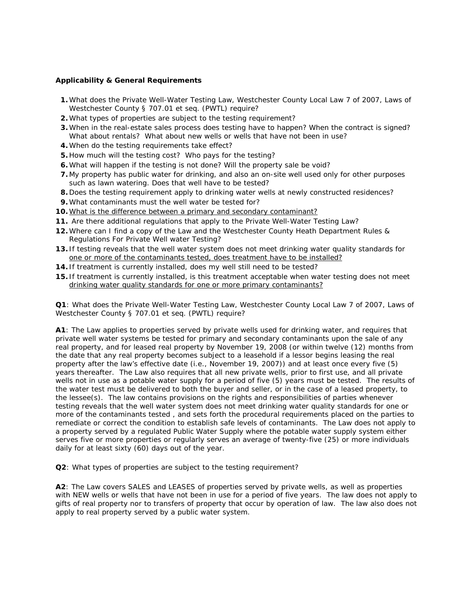#### **Applicability & General Requirements**

- **1.** What does the Private Well-Water Testing Law, Westchester County Local Law 7 of 2007, Laws of Westchester County § 707.01 et seq. (PWTL) require?
- **2.** What types of properties are subject to the testing requirement?
- **3.** When in the real-estate sales process does testing have to happen? When the contract is signed? What about rentals? What about new wells or wells that have not been in use?
- **4.** When do the testing requirements take effect?
- **5.** How much will the testing cost? Who pays for the testing?
- **6.** What will happen if the testing is not done? Will the property sale be void?
- **7.** My property has public water for drinking, and also an on-site well used only for other purposes such as lawn watering. Does that well have to be tested?
- **8.** Does the testing requirement apply to drinking water wells at newly constructed residences?
- **9.** What contaminants must the well water be tested for?
- **10.** What is the difference between a primary and secondary contaminant?
- **11.** Are there additional regulations that apply to the Private Well-Water Testing Law?
- **12.** Where can I find a copy of the Law and the Westchester County Heath Department Rules & Regulations For Private Well water Testing?
- **13.** If testing reveals that the well water system does not meet drinking water quality standards for one or more of the contaminants tested, does treatment have to be installed?
- **14.** If treatment is currently installed, does my well still need to be tested?
- **15.** If treatment is currently installed, is this treatment acceptable when water testing does not meet drinking water quality standards for one or more primary contaminants?

**Q1**: What does the Private Well-Water Testing Law, Westchester County Local Law 7 of 2007, Laws of Westchester County § 707.01 et seq. (PWTL) require?

**A1**: The Law applies to properties served by private wells used for drinking water, and requires that private well water systems be tested for primary and secondary contaminants upon the sale of any real property, and for leased real property by November 19, 2008 (or within twelve (12) months from the date that any real property becomes subject to a leasehold if a lessor begins leasing the real property after the law's effective date (i.e., November 19, 2007)) and at least once every five (5) years thereafter. The Law also requires that all new private wells, prior to first use, and all private wells not in use as a potable water supply for a period of five (5) years must be tested. The results of the water test must be delivered to both the buyer and seller, or in the case of a leased property, to the lessee(s). The law contains provisions on the rights and responsibilities of parties whenever testing reveals that the well water system does not meet drinking water quality standards for one or more of the contaminants tested , and sets forth the procedural requirements placed on the parties to remediate or correct the condition to establish safe levels of contaminants. The Law does not apply to a property served by a regulated Public Water Supply where the potable water supply system either serves five or more properties or regularly serves an average of twenty-five (25) or more individuals daily for at least sixty (60) days out of the year.

**Q2**: What types of properties are subject to the testing requirement?

**A2**: The Law covers SALES and LEASES of properties served by private wells, as well as properties with NEW wells or wells that have not been in use for a period of five years. The law does not apply to gifts of real property nor to transfers of property that occur by operation of law. The law also does not apply to real property served by a public water system.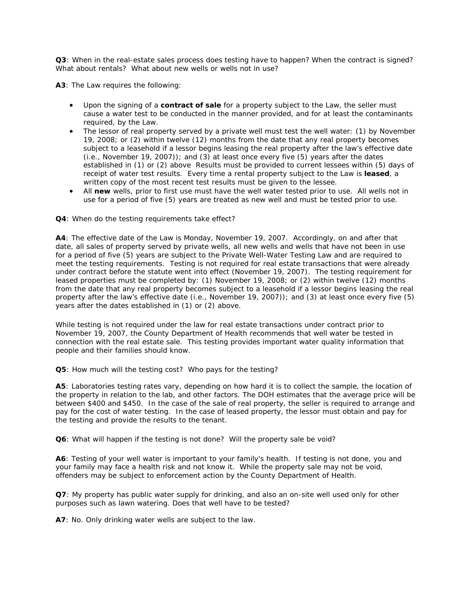**Q3**: When in the real-estate sales process does testing have to happen? When the contract is signed? What about rentals? What about new wells or wells not in use?

**A3**: The Law requires the following:

- Upon the signing of a **contract of sale** for a property subject to the Law, the seller must cause a water test to be conducted in the manner provided, and for at least the contaminants required, by the Law.
- The lessor of real property served by a private well must test the well water: (1) by November 19, 2008; or (2) within twelve (12) months from the date that any real property becomes subject to a leasehold if a lessor begins leasing the real property after the law's effective date  $(i.e., November 19, 2007))$ ; and  $(3)$  at least once every five  $(5)$  years after the dates established in (1) or (2) above Results must be provided to current lessees within (5) days of receipt of water test results. Every time a rental property subject to the Law is **leased**, a written copy of the most recent test results must be given to the lessee.
- All **new** wells, prior to first use must have the well water tested prior to use. All wells not in use for a period of five (5) years are treated as new well and must be tested prior to use.

#### **Q4**: When do the testing requirements take effect?

**A4**: The effective date of the Law is Monday, November 19, 2007. Accordingly, on and after that date, all sales of property served by private wells, all new wells and wells that have not been in use for a period of five (5) years are subject to the Private Well-Water Testing Law and are required to meet the testing requirements. Testing is not required for real estate transactions that were already under contract before the statute went into effect (November 19, 2007). The testing requirement for leased properties must be completed by: (1) November 19, 2008; or (2) within twelve (12) months from the date that any real property becomes subject to a leasehold if a lessor begins leasing the real property after the law's effective date (i.e., November 19, 2007)); and (3) at least once every five (5) years after the dates established in (1) or (2) above.

While testing is not required under the law for real estate transactions under contract prior to November 19, 2007, the County Department of Health recommends that well water be tested in connection with the real estate sale. This testing provides important water quality information that people and their families should know.

**Q5**: How much will the testing cost? Who pays for the testing?

**A5**: Laboratories testing rates vary, depending on how hard it is to collect the sample, the location of the property in relation to the lab, and other factors. The DOH estimates that the average price will be between \$400 and \$450. In the case of the sale of real property, the seller is required to arrange and pay for the cost of water testing. In the case of leased property, the lessor must obtain and pay for the testing and provide the results to the tenant.

**Q6**: What will happen if the testing is not done? Will the property sale be void?

**A6**: Testing of your well water is important to your family's health. If testing is not done, you and your family may face a health risk and not know it. While the property sale may not be void, offenders may be subject to enforcement action by the County Department of Health.

**Q7**: My property has public water supply for drinking, and also an on-site well used only for other purposes such as lawn watering. Does that well have to be tested?

**A7**: No. Only drinking water wells are subject to the law.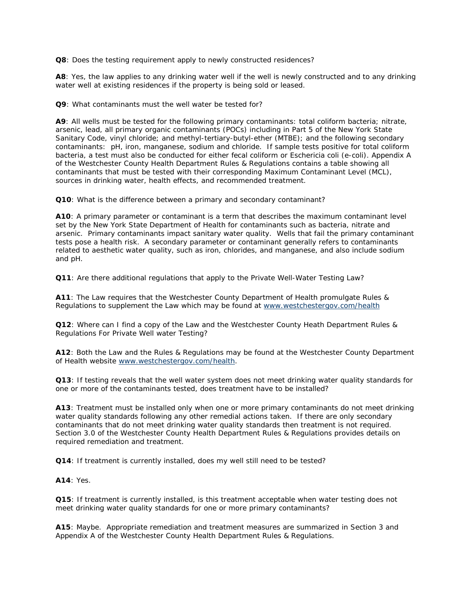**Q8**: Does the testing requirement apply to newly constructed residences?

**A8**: Yes, the law applies to any drinking water well if the well is newly constructed and to any drinking water well at existing residences if the property is being sold or leased.

**Q9**: What contaminants must the well water be tested for?

**A9**: All wells must be tested for the following primary contaminants: total coliform bacteria; nitrate, arsenic, lead, all primary organic contaminants (POCs) including in Part 5 of the New York State Sanitary Code, vinyl chloride; and methyl-tertiary-butyl-ether (MTBE); and the following secondary contaminants: pH, iron, manganese, sodium and chloride. If sample tests positive for total coliform bacteria, a test must also be conducted for either fecal coliform or Eschericia coli (e-coli). Appendix A of the Westchester County Health Department Rules & Regulations contains a table showing all contaminants that must be tested with their corresponding Maximum Contaminant Level (MCL), sources in drinking water, health effects, and recommended treatment.

**Q10**: What is the difference between a primary and secondary contaminant?

**A10**: A primary parameter or contaminant is a term that describes the maximum contaminant level set by the New York State Department of Health for contaminants such as bacteria, nitrate and arsenic. Primary contaminants impact sanitary water quality. Wells that fail the primary contaminant tests pose a health risk. A secondary parameter or contaminant generally refers to contaminants related to aesthetic water quality, such as iron, chlorides, and manganese, and also include sodium and pH.

**Q11**: Are there additional regulations that apply to the Private Well-Water Testing Law?

**A11**: The Law requires that the Westchester County Department of Health promulgate Rules & Regulations to supplement the Law which may be found at www.westchestergov.com/health

**Q12**: Where can I find a copy of the Law and the Westchester County Heath Department Rules & Regulations For Private Well water Testing?

**A12**: Both the Law and the Rules & Regulations may be found at the Westchester County Department of Health website www.westchestergov.com/health.

**Q13**: If testing reveals that the well water system does not meet drinking water quality standards for one or more of the contaminants tested, does treatment have to be installed?

**A13**: Treatment must be installed only when one or more primary contaminants do not meet drinking water quality standards following any other remedial actions taken. If there are only secondary contaminants that do not meet drinking water quality standards then treatment is not required. Section 3.0 of the Westchester County Health Department Rules & Regulations provides details on required remediation and treatment.

**Q14**: If treatment is currently installed, does my well still need to be tested?

**A14**: Yes.

**Q15**: If treatment is currently installed, is this treatment acceptable when water testing does not meet drinking water quality standards for one or more primary contaminants?

**A15**: Maybe. Appropriate remediation and treatment measures are summarized in Section 3 and Appendix A of the Westchester County Health Department Rules & Regulations.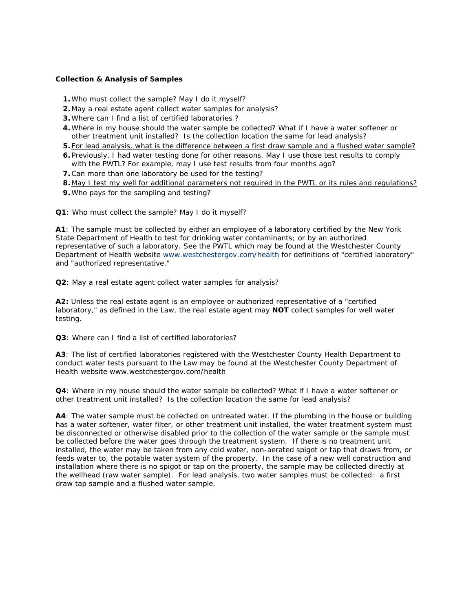#### **Collection & Analysis of Samples**

- **1.** Who must collect the sample? May I do it myself?
- **2.** May a real estate agent collect water samples for analysis?
- **3.** Where can I find a list of certified laboratories ?
- **4.** Where in my house should the water sample be collected? What if I have a water softener or other treatment unit installed? Is the collection location the same for lead analysis?
- **5.** For lead analysis, what is the difference between a first draw sample and a flushed water sample?
- **6.** Previously, I had water testing done for other reasons. May I use those test results to comply with the PWTL? For example, may I use test results from four months ago?
- **7.** Can more than one laboratory be used for the testing?
- **8.** May I test my well for additional parameters not required in the PWTL or its rules and regulations?
- **9.** Who pays for the sampling and testing?

**Q1**: Who must collect the sample? May I do it myself?

**A1**: The sample must be collected by either an employee of a laboratory certified by the New York State Department of Health to test for drinking water contaminants; or by an authorized representative of such a laboratory. See the PWTL which may be found at the Westchester County Department of Health website www.westchestergov.com/health for definitions of "certified laboratory" and "authorized representative."

**Q2**: May a real estate agent collect water samples for analysis?

**A2:** Unless the real estate agent is an employee or authorized representative of a "certified laboratory," as defined in the Law, the real estate agent may **NOT** collect samples for well water testing.

**Q3**: Where can I find a list of certified laboratories?

**A3**: The list of certified laboratories registered with the Westchester County Health Department to conduct water tests pursuant to the Law may be found at the Westchester County Department of Health website www.westchestergov.com/health

**Q4**: Where in my house should the water sample be collected? What if I have a water softener or other treatment unit installed? Is the collection location the same for lead analysis?

**A4**: The water sample must be collected on untreated water. If the plumbing in the house or building has a water softener, water filter, or other treatment unit installed, the water treatment system must be disconnected or otherwise disabled prior to the collection of the water sample or the sample must be collected before the water goes through the treatment system. If there is no treatment unit installed, the water may be taken from any cold water, non-aerated spigot or tap that draws from, or feeds water to, the potable water system of the property. In the case of a new well construction and installation where there is no spigot or tap on the property, the sample may be collected directly at the wellhead (raw water sample). For lead analysis, two water samples must be collected: a first draw tap sample and a flushed water sample.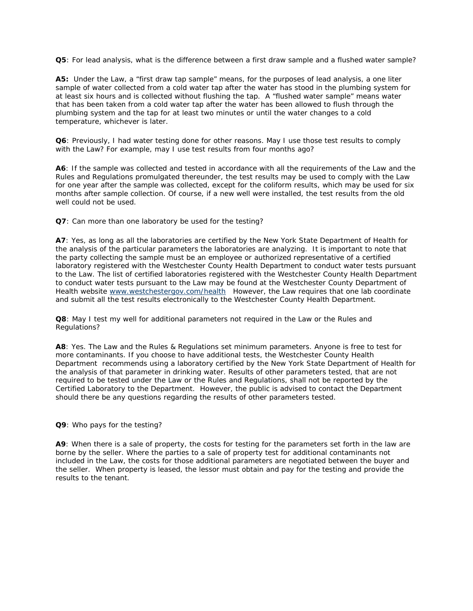**Q5**: For lead analysis, what is the difference between a first draw sample and a flushed water sample?

**A5:** Under the Law, a "first draw tap sample" means, for the purposes of lead analysis, a one liter sample of water collected from a cold water tap after the water has stood in the plumbing system for at least six hours and is collected without flushing the tap. A "flushed water sample" means water that has been taken from a cold water tap after the water has been allowed to flush through the plumbing system and the tap for at least two minutes or until the water changes to a cold temperature, whichever is later.

**Q6**: Previously, I had water testing done for other reasons. May I use those test results to comply with the Law? For example, may I use test results from four months ago?

**A6**: If the sample was collected and tested in accordance with all the requirements of the Law and the Rules and Regulations promulgated thereunder, the test results may be used to comply with the Law for one year after the sample was collected, except for the coliform results, which may be used for six months after sample collection. Of course, if a new well were installed, the test results from the old well could not be used.

**Q7**: Can more than one laboratory be used for the testing?

**A7**: Yes, as long as all the laboratories are certified by the New York State Department of Health for the analysis of the particular parameters the laboratories are analyzing. It is important to note that the party collecting the sample must be an employee or authorized representative of a certified laboratory registered with the Westchester County Health Department to conduct water tests pursuant to the Law. The list of certified laboratories registered with the Westchester County Health Department to conduct water tests pursuant to the Law may be found at the Westchester County Department of Health website www.westchestergov.com/health However, the Law requires that one lab coordinate and submit all the test results electronically to the Westchester County Health Department.

**Q8**: May I test my well for additional parameters not required in the Law or the Rules and Regulations?

**A8**: Yes. The Law and the Rules & Regulations set minimum parameters. Anyone is free to test for more contaminants. If you choose to have additional tests, the Westchester County Health Department recommends using a laboratory certified by the New York State Department of Health for the analysis of that parameter in drinking water. Results of other parameters tested, that are not required to be tested under the Law or the Rules and Regulations, shall not be reported by the Certified Laboratory to the Department. However, the public is advised to contact the Department should there be any questions regarding the results of other parameters tested.

**Q9**: Who pays for the testing?

**A9**: When there is a sale of property, the costs for testing for the parameters set forth in the law are borne by the seller. Where the parties to a sale of property test for additional contaminants not included in the Law, the costs for those additional parameters are negotiated between the buyer and the seller. When property is leased, the lessor must obtain and pay for the testing and provide the results to the tenant.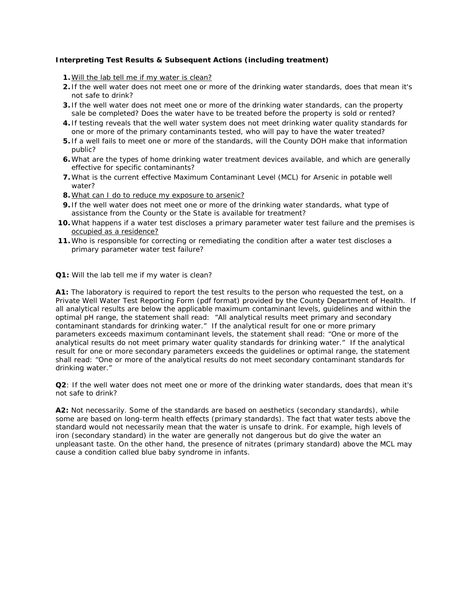#### **Interpreting Test Results & Subsequent Actions (including treatment)**

- **1.** Will the lab tell me if my water is clean?
- **2.** If the well water does not meet one or more of the drinking water standards, does that mean it's not safe to drink?
- **3.** If the well water does not meet one or more of the drinking water standards, can the property sale be completed? Does the water have to be treated before the property is sold or rented?
- **4.** If testing reveals that the well water system does not meet drinking water quality standards for one or more of the primary contaminants tested, who will pay to have the water treated?
- **5.** If a well fails to meet one or more of the standards, will the County DOH make that information public?
- **6.** What are the types of home drinking water treatment devices available, and which are generally effective for specific contaminants?
- **7.** What is the current effective Maximum Contaminant Level (MCL) for Arsenic in potable well water?
- **8.** What can I do to reduce my exposure to arsenic?
- **9.** If the well water does not meet one or more of the drinking water standards, what type of assistance from the County or the State is available for treatment?
- **10.** What happens if a water test discloses a primary parameter water test failure and the premises is occupied as a residence?
- **11.** Who is responsible for correcting or remediating the condition after a water test discloses a primary parameter water test failure?
- **Q1:** Will the lab tell me if my water is clean?

**A1:** The laboratory is required to report the test results to the person who requested the test, on a Private Well Water Test Reporting Form (pdf format) provided by the County Department of Health. If all analytical results are below the applicable maximum contaminant levels, guidelines and within the optimal pH range, the statement shall read: "All analytical results meet primary and secondary contaminant standards for drinking water." If the analytical result for one or more primary parameters exceeds maximum contaminant levels, the statement shall read: "One or more of the analytical results do not meet primary water quality standards for drinking water." If the analytical result for one or more secondary parameters exceeds the guidelines or optimal range, the statement shall read: "One or more of the analytical results do not meet secondary contaminant standards for drinking water."

**Q2**: If the well water does not meet one or more of the drinking water standards, does that mean it's not safe to drink?

**A2:** Not necessarily. Some of the standards are based on aesthetics (secondary standards), while some are based on long-term health effects (primary standards). The fact that water tests above the standard would not necessarily mean that the water is unsafe to drink. For example, high levels of iron (secondary standard) in the water are generally not dangerous but do give the water an unpleasant taste. On the other hand, the presence of nitrates (primary standard) above the MCL may cause a condition called blue baby syndrome in infants.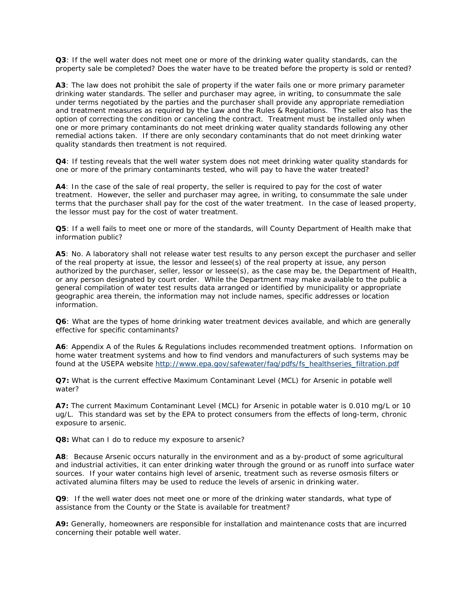**Q3**: If the well water does not meet one or more of the drinking water quality standards, can the property sale be completed? Does the water have to be treated before the property is sold or rented?

**A3**: The law does not prohibit the sale of property if the water fails one or more primary parameter drinking water standards. The seller and purchaser may agree, in writing, to consummate the sale under terms negotiated by the parties and the purchaser shall provide any appropriate remediation and treatment measures as required by the Law and the Rules & Regulations. The seller also has the option of correcting the condition or canceling the contract. Treatment must be installed only when one or more primary contaminants do not meet drinking water quality standards following any other remedial actions taken. If there are only secondary contaminants that do not meet drinking water quality standards then treatment is not required.

**Q4**: If testing reveals that the well water system does not meet drinking water quality standards for one or more of the primary contaminants tested, who will pay to have the water treated?

**A4**: In the case of the sale of real property, the seller is required to pay for the cost of water treatment. However, the seller and purchaser may agree, in writing, to consummate the sale under terms that the purchaser shall pay for the cost of the water treatment. In the case of leased property, the lessor must pay for the cost of water treatment.

**Q5**: If a well fails to meet one or more of the standards, will County Department of Health make that information public?

**A5**: No. A laboratory shall not release water test results to any person except the purchaser and seller of the real property at issue, the lessor and lessee(s) of the real property at issue, any person authorized by the purchaser, seller, lessor or lessee(s), as the case may be, the Department of Health, or any person designated by court order. While the Department may make available to the public a general compilation of water test results data arranged or identified by municipality or appropriate geographic area therein, the information may not include names, specific addresses or location information.

**Q6**: What are the types of home drinking water treatment devices available, and which are generally effective for specific contaminants?

**A6**: Appendix A of the Rules & Regulations includes recommended treatment options. Information on home water treatment systems and how to find vendors and manufacturers of such systems may be found at the USEPA website http://www.epa.gov/safewater/faq/pdfs/fs\_healthseries\_filtration.pdf

**Q7:** What is the current effective Maximum Contaminant Level (MCL) for Arsenic in potable well water?

**A7:** The current Maximum Contaminant Level (MCL) for Arsenic in potable water is 0.010 mg/L or 10 ug/L. This standard was set by the EPA to protect consumers from the effects of long-term, chronic exposure to arsenic.

**Q8:** What can I do to reduce my exposure to arsenic?

**A8**: Because Arsenic occurs naturally in the environment and as a by-product of some agricultural and industrial activities, it can enter drinking water through the ground or as runoff into surface water sources. If your water contains high level of arsenic, treatment such as reverse osmosis filters or activated alumina filters may be used to reduce the levels of arsenic in drinking water.

**Q9**: If the well water does not meet one or more of the drinking water standards, what type of assistance from the County or the State is available for treatment?

**A9:** Generally, homeowners are responsible for installation and maintenance costs that are incurred concerning their potable well water.